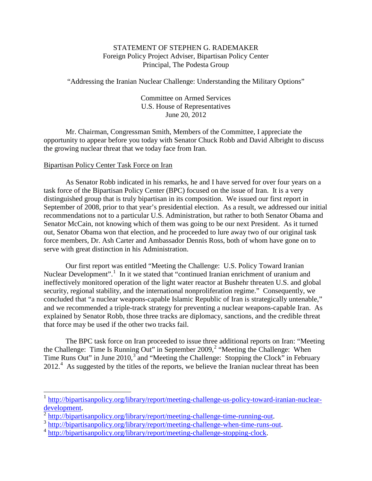## STATEMENT OF STEPHEN G. RADEMAKER Foreign Policy Project Adviser, Bipartisan Policy Center Principal, The Podesta Group

"Addressing the Iranian Nuclear Challenge: Understanding the Military Options"

Committee on Armed Services U.S. House of Representatives June 20, 2012

Mr. Chairman, Congressman Smith, Members of the Committee, I appreciate the opportunity to appear before you today with Senator Chuck Robb and David Albright to discuss the growing nuclear threat that we today face from Iran.

## Bipartisan Policy Center Task Force on Iran

As Senator Robb indicated in his remarks, he and I have served for over four years on a task force of the Bipartisan Policy Center (BPC) focused on the issue of Iran. It is a very distinguished group that is truly bipartisan in its composition. We issued our first report in September of 2008, prior to that year's presidential election. As a result, we addressed our initial recommendations not to a particular U.S. Administration, but rather to both Senator Obama and Senator McCain, not knowing which of them was going to be our next President. As it turned out, Senator Obama won that election, and he proceeded to lure away two of our original task force members, Dr. Ash Carter and Ambassador Dennis Ross, both of whom have gone on to serve with great distinction in his Administration.

Our first report was entitled "Meeting the Challenge: U.S. Policy Toward Iranian Nuclear Development".<sup>[1](#page-0-0)</sup> In it we stated that "continued Iranian enrichment of uranium and ineffectively monitored operation of the light water reactor at Bushehr threaten U.S. and global security, regional stability, and the international nonproliferation regime." Consequently, we concluded that "a nuclear weapons-capable Islamic Republic of Iran is strategically untenable," and we recommended a triple-track strategy for preventing a nuclear weapons-capable Iran. As explained by Senator Robb, those three tracks are diplomacy, sanctions, and the credible threat that force may be used if the other two tracks fail.

The BPC task force on Iran proceeded to issue three additional reports on Iran: "Meeting the Challenge: Time Is Running Out" in September [2](#page-0-1)009,<sup>2</sup> "Meeting the Challenge: When Time Runs Out" in June 2010,<sup>[3](#page-0-2)</sup> and "Meeting the Challenge: Stopping the Clock" in February 2012.<sup>[4](#page-0-3)</sup> As suggested by the titles of the reports, we believe the Iranian nuclear threat has been

<span id="page-0-0"></span><sup>&</sup>lt;sup>1</sup> [http://bipartisanpolicy.org/library/report/meeting-challenge-us-policy-toward-iranian-nuclear](http://bipartisanpolicy.org/library/report/meeting-challenge-us-policy-toward-iranian-nuclear-development)[development.](http://bipartisanpolicy.org/library/report/meeting-challenge-us-policy-toward-iranian-nuclear-development)<br>
<sup>2</sup> [http://bipartisanpolicy.org/library/report/meeting-challenge-time-running-out.](http://bipartisanpolicy.org/library/report/meeting-challenge-time-running-out)<br>
<sup>3</sup> [http://bipartisanpolicy.org/library/report/meeting-challenge-when-time-runs-out.](http://bipartisanpolicy.org/library/report/meeting-challenge-when-time-runs-out)<br>
<sup>4</sup> http://bipartisanpolicy.org/librar

<span id="page-0-1"></span>

<span id="page-0-2"></span>

<span id="page-0-3"></span>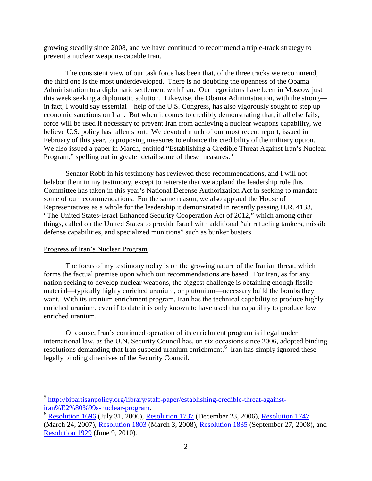growing steadily since 2008, and we have continued to recommend a triple-track strategy to prevent a nuclear weapons-capable Iran.

The consistent view of our task force has been that, of the three tracks we recommend, the third one is the most underdeveloped. There is no doubting the openness of the Obama Administration to a diplomatic settlement with Iran. Our negotiators have been in Moscow just this week seeking a diplomatic solution. Likewise, the Obama Administration, with the strong in fact, I would say essential—help of the U.S. Congress, has also vigorously sought to step up economic sanctions on Iran. But when it comes to credibly demonstrating that, if all else fails, force will be used if necessary to prevent Iran from achieving a nuclear weapons capability, we believe U.S. policy has fallen short. We devoted much of our most recent report, issued in February of this year, to proposing measures to enhance the credibility of the military option. We also issued a paper in March, entitled "Establishing a Credible Threat Against Iran's Nuclear Program," spelling out in greater detail some of these measures.<sup>[5](#page-1-0)</sup>

Senator Robb in his testimony has reviewed these recommendations, and I will not belabor them in my testimony, except to reiterate that we applaud the leadership role this Committee has taken in this year's National Defense Authorization Act in seeking to mandate some of our recommendations. For the same reason, we also applaud the House of Representatives as a whole for the leadership it demonstrated in recently passing H.R. 4133, "The United States-Israel Enhanced Security Cooperation Act of 2012," which among other things, called on the United States to provide Israel with additional "air refueling tankers, missile defense capabilities, and specialized munitions" such as bunker busters.

## Progress of Iran's Nuclear Program

The focus of my testimony today is on the growing nature of the Iranian threat, which forms the factual premise upon which our recommendations are based. For Iran, as for any nation seeking to develop nuclear weapons, the biggest challenge is obtaining enough fissile material—typically highly enriched uranium, or plutonium—necessary build the bombs they want. With its uranium enrichment program, Iran has the technical capability to produce highly enriched uranium, even if to date it is only known to have used that capability to produce low enriched uranium.

Of course, Iran's continued operation of its enrichment program is illegal under international law, as the U.N. Security Council has, on six occasions since 2006, adopted binding resolutions demanding that Iran suspend uranium enrichment.<sup>[6](#page-1-1)</sup> Iran has simply ignored these legally binding directives of the Security Council.

<span id="page-1-0"></span> $5$  http://bipartisanpolicy.org/library/staff-paper/establishing-credible-threat-against-<br>iran%E2%80%99s-nuclear-program.

<span id="page-1-1"></span> $\overline{6}$  $\overline{6}$  $\overline{6}$  [Resolution 1696](http://en.wikipedia.org/wiki/United_Nations_Security_Council_Resolution_1696) (July 31, 2006), [Resolution 1737](http://en.wikipedia.org/wiki/United_Nations_Security_Council_Resolution_1737) (December 23, 2006), [Resolution 1747](http://en.wikipedia.org/wiki/United_Nations_Security_Council_Resolution_1747) (March 24, 2007), [Resolution 1803](http://en.wikipedia.org/wiki/UN_Security_Council_Resolution_1803) (March 3, 2008), [Resolution 1835](http://en.wikipedia.org/wiki/United_Nations_Security_Council_Resolution_1835) (September 27, 2008), and [Resolution 1929](http://en.wikipedia.org/wiki/United_Nations_Security_Council_Resolution_1929) (June 9, 2010).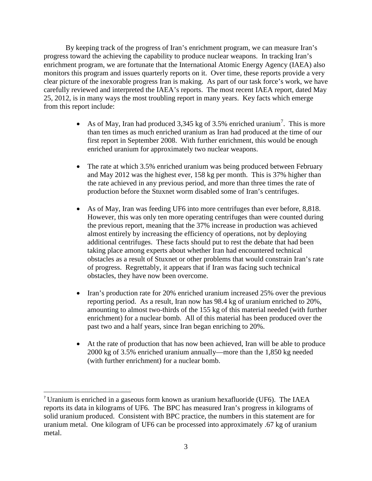By keeping track of the progress of Iran's enrichment program, we can measure Iran's progress toward the achieving the capability to produce nuclear weapons. In tracking Iran's enrichment program, we are fortunate that the International Atomic Energy Agency (IAEA) also monitors this program and issues quarterly reports on it. Over time, these reports provide a very clear picture of the inexorable progress Iran is making. As part of our task force's work, we have carefully reviewed and interpreted the IAEA's reports. The most recent IAEA report, dated May 25, 2012, is in many ways the most troubling report in many years. Key facts which emerge from this report include:

- As of May, Iran had produced 3,345 kg of 3.5% enriched uranium<sup>[7](#page-2-0)</sup>. This is more than ten times as much enriched uranium as Iran had produced at the time of our first report in September 2008. With further enrichment, this would be enough enriched uranium for approximately two nuclear weapons.
- The rate at which 3.5% enriched uranium was being produced between February and May 2012 was the highest ever, 158 kg per month. This is 37% higher than the rate achieved in any previous period, and more than three times the rate of production before the Stuxnet worm disabled some of Iran's centrifuges.
- As of May, Iran was feeding UF6 into more centrifuges than ever before, 8,818. However, this was only ten more operating centrifuges than were counted during the previous report, meaning that the 37% increase in production was achieved almost entirely by increasing the efficiency of operations, not by deploying additional centrifuges. These facts should put to rest the debate that had been taking place among experts about whether Iran had encountered technical obstacles as a result of Stuxnet or other problems that would constrain Iran's rate of progress. Regrettably, it appears that if Iran was facing such technical obstacles, they have now been overcome.
- Iran's production rate for 20% enriched uranium increased 25% over the previous reporting period. As a result, Iran now has 98.4 kg of uranium enriched to 20%, amounting to almost two-thirds of the 155 kg of this material needed (with further enrichment) for a nuclear bomb. All of this material has been produced over the past two and a half years, since Iran began enriching to 20%.
- At the rate of production that has now been achieved, Iran will be able to produce 2000 kg of 3.5% enriched uranium annually—more than the 1,850 kg needed (with further enrichment) for a nuclear bomb.

<span id="page-2-0"></span> <sup>7</sup> Uranium is enriched in a gaseous form known as uranium hexafluoride (UF6). The IAEA reports its data in kilograms of UF6. The BPC has measured Iran's progress in kilograms of solid uranium produced. Consistent with BPC practice, the numbers in this statement are for uranium metal. One kilogram of UF6 can be processed into approximately .67 kg of uranium metal.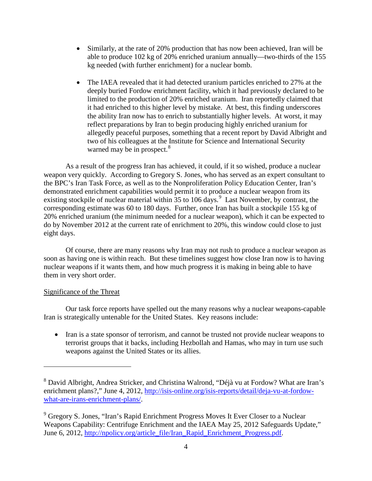- Similarly, at the rate of 20% production that has now been achieved, Iran will be able to produce 102 kg of 20% enriched uranium annually—two-thirds of the 155 kg needed (with further enrichment) for a nuclear bomb.
- The IAEA revealed that it had detected uranium particles enriched to 27% at the deeply buried Fordow enrichment facility, which it had previously declared to be limited to the production of 20% enriched uranium. Iran reportedly claimed that it had enriched to this higher level by mistake. At best, this finding underscores the ability Iran now has to enrich to substantially higher levels. At worst, it may reflect preparations by Iran to begin producing highly enriched uranium for allegedly peaceful purposes, something that a recent report by David Albright and two of his colleagues at the Institute for Science and International Security warned may be in prospect.<sup>[8](#page-3-0)</sup>

As a result of the progress Iran has achieved, it could, if it so wished, produce a nuclear weapon very quickly. According to Gregory S. Jones, who has served as an expert consultant to the BPC's Iran Task Force, as well as to the Nonproliferation Policy Education Center, Iran's demonstrated enrichment capabilities would permit it to produce a nuclear weapon from its existing stockpile of nuclear material within 35 to 106 days.<sup>[9](#page-3-1)</sup> Last November, by contrast, the corresponding estimate was 60 to 180 days. Further, once Iran has built a stockpile 155 kg of 20% enriched uranium (the minimum needed for a nuclear weapon), which it can be expected to do by November 2012 at the current rate of enrichment to 20%, this window could close to just eight days.

Of course, there are many reasons why Iran may not rush to produce a nuclear weapon as soon as having one is within reach. But these timelines suggest how close Iran now is to having nuclear weapons if it wants them, and how much progress it is making in being able to have them in very short order.

## Significance of the Threat

l

Our task force reports have spelled out the many reasons why a nuclear weapons-capable Iran is strategically untenable for the United States. Key reasons include:

• Iran is a state sponsor of terrorism, and cannot be trusted not provide nuclear weapons to terrorist groups that it backs, including Hezbollah and Hamas, who may in turn use such weapons against the United States or its allies.

<span id="page-3-0"></span><sup>8</sup> David Albright, Andrea Stricker, and Christina Walrond, "Déjà vu at Fordow? What are Iran's enrichment plans?," June 4, 2012, [http://isis-online.org/isis-reports/detail/deja-vu-at-fordow](http://isis-online.org/isis-reports/detail/deja-vu-at-fordow-what-are-irans-enrichment-plans/)[what-are-irans-enrichment-plans/.](http://isis-online.org/isis-reports/detail/deja-vu-at-fordow-what-are-irans-enrichment-plans/)

<span id="page-3-1"></span><sup>&</sup>lt;sup>9</sup> Gregory S. Jones, "Iran's Rapid Enrichment Progress Moves It Ever Closer to a Nuclear Weapons Capability: Centrifuge Enrichment and the IAEA May 25, 2012 Safeguards Update," June 6, 2012, [http://npolicy.org/article\\_file/Iran\\_Rapid\\_Enrichment\\_Progress.pdf.](http://npolicy.org/article_file/Iran_Rapid_Enrichment_Progress.pdf)